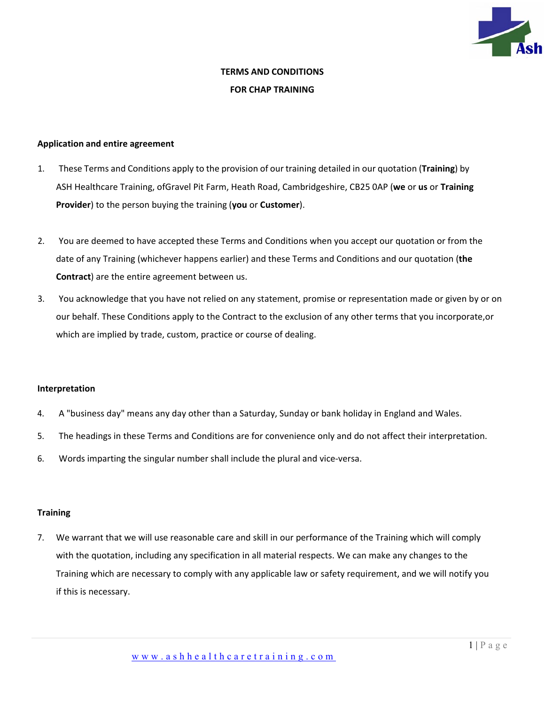

# **TERMS AND CONDITIONS FOR CHAP TRAINING**

# **Application and entire agreement**

- 1. These Terms and Conditions apply to the provision of our training detailed in our quotation (**Training**) by ASH Healthcare Training, ofGravel Pit Farm, Heath Road, Cambridgeshire, CB25 0AP (**we** or **us** or **Training Provider**) to the person buying the training (**you** or **Customer**).
- 2. You are deemed to have accepted these Terms and Conditions when you accept our quotation or from the date of any Training (whichever happens earlier) and these Terms and Conditions and our quotation (**the Contract**) are the entire agreement between us.
- 3. You acknowledge that you have not relied on any statement, promise or representation made or given by or on our behalf. These Conditions apply to the Contract to the exclusion of any other terms that you incorporate,or which are implied by trade, custom, practice or course of dealing.

#### **Interpretation**

- 4. A "business day" means any day other than a Saturday, Sunday or bank holiday in England and Wales.
- 5. The headings in these Terms and Conditions are for convenience only and do not affect their interpretation.
- 6. Words imparting the singular number shall include the plural and vice-versa.

# **Training**

7. We warrant that we will use reasonable care and skill in our performance of the Training which will comply with the quotation, including any specification in all material respects. We can make any changes to the Training which are necessary to comply with any applicable law or safety requirement, and we will notify you if this is necessary.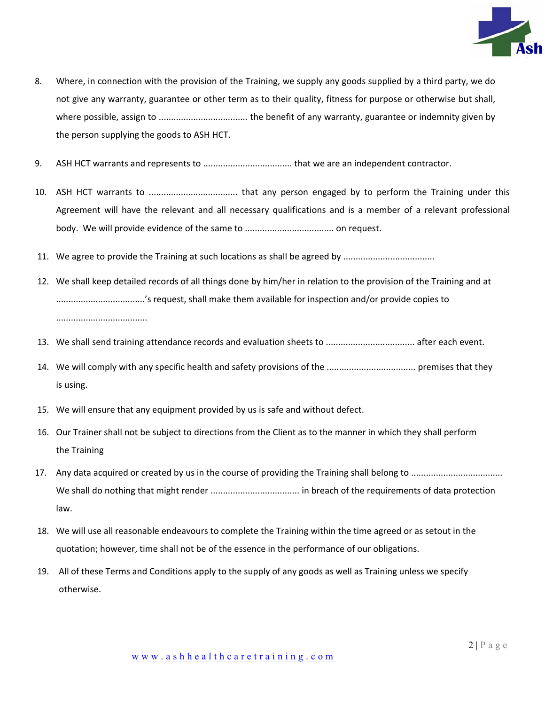

- 8. Where, in connection with the provision of the Training, we supply any goods supplied by a third party, we do not give any warranty, guarantee or other term as to their quality, fitness for purpose or otherwise but shall, where possible, assign to .................................... the benefit of any warranty, guarantee or indemnity given by the person supplying the goods to ASH HCT.
- 9. ASH HCT warrants and represents to .................................... that we are an independent contractor.
- 10. ASH HCT warrants to .................................... that any person engaged by to perform the Training under this Agreement will have the relevant and all necessary qualifications and is a member of a relevant professional body. We will provide evidence of the same to .................................... on request.
- 11. We agree to provide the Training at such locations as shall be agreed by .................................
- 12. We shall keep detailed records of all things done by him/her in relation to the provision of the Training and at ....................................'s request, shall make them available for inspection and/or provide copies to .....................................
- 13. We shall send training attendance records and evaluation sheets to .................................... after each event.
- 14. We will comply with any specific health and safety provisions of the .................................... premises that they is using.
- 15. We will ensure that any equipment provided by us is safe and without defect.
- 16. Our Trainer shall not be subject to directions from the Client as to the manner in which they shall perform the Training
- 17. Any data acquired or created by us in the course of providing the Training shall belong to ..................................... We shall do nothing that might render .................................... in breach of the requirements of data protection law.
- 18. We will use all reasonable endeavours to complete the Training within the time agreed or as setout in the quotation; however, time shall not be of the essence in the performance of our obligations.
- 19. All of these Terms and Conditions apply to the supply of any goods as well as Training unless we specify otherwise.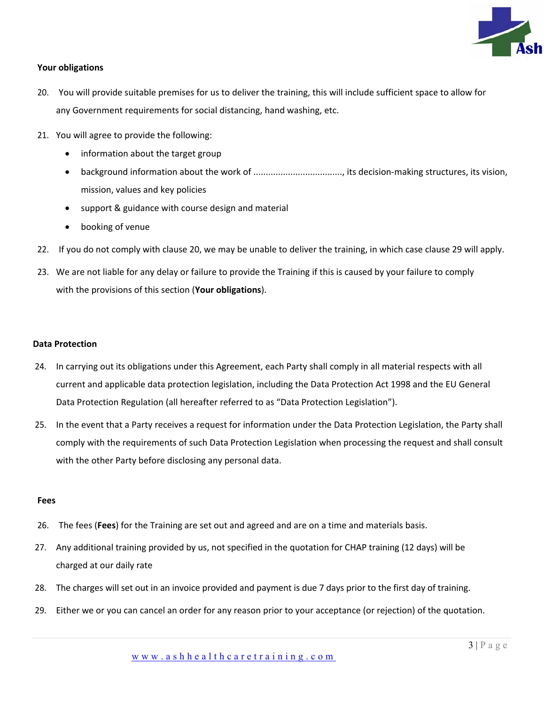

# **Your obligations**

- 20. You will provide suitable premises for us to deliver the training, this will include sufficient space to allow for any Government requirements for social distancing, hand washing, etc.
- 21. You will agree to provide the following:
	- information about the target group
	- background information about the work of ...................................., its decision-making structures, its vision, mission, values and key policies
	- support & guidance with course design and material
	- booking of venue
- 22. If you do not comply with clause 20, we may be unable to deliver the training, in which case clause 29 will apply.
- 23. We are not liable for any delay or failure to provide the Training if this is caused by your failure to comply with the provisions of this section (**Your obligations**).

#### **Data Protection**

- 24. In carrying out its obligations under this Agreement, each Party shall comply in all material respects with all current and applicable data protection legislation, including the Data Protection Act 1998 and the EU General Data Protection Regulation (all hereafter referred to as "Data Protection Legislation").
- 25. In the event that a Party receives a request for information under the Data Protection Legislation, the Party shall comply with the requirements of such Data Protection Legislation when processing the request and shall consult with the other Party before disclosing any personal data.

#### **Fees**

- 26. The fees (**Fees**) for the Training are set out and agreed and are on a time and materials basis.
- 27. Any additional training provided by us, not specified in the quotation for CHAP training (12 days) will be charged at our daily rate
- 28. The charges will set out in an invoice provided and payment is due 7 days prior to the first day of training.
- 29. Either we or you can cancel an order for any reason prior to your acceptance (or rejection) of the quotation.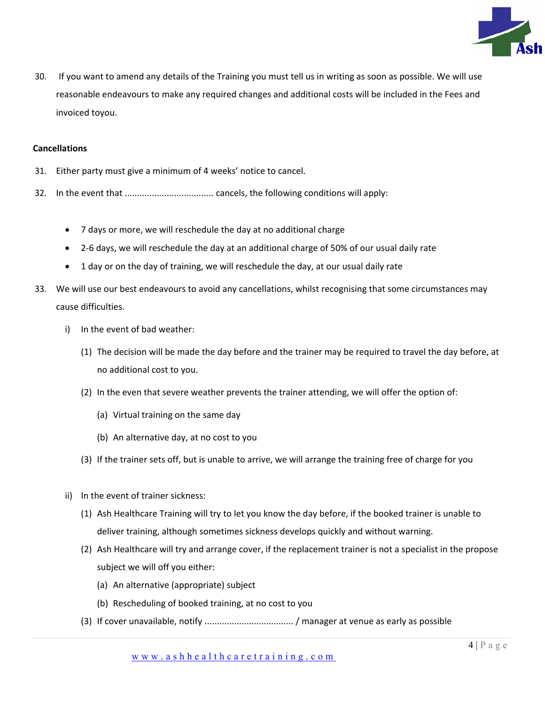

30. If you want to amend any details of the Training you must tell us in writing as soon as possible. We will use reasonable endeavours to make any required changes and additional costs will be included in the Fees and invoiced toyou.

#### **Cancellations**

- 31. Either party must give a minimum of 4 weeks' notice to cancel.
- 32. In the event that .................................... cancels, the following conditions will apply:
	- 7 days or more, we will reschedule the day at no additional charge
	- 2-6 days, we will reschedule the day at an additional charge of 50% of our usual daily rate
	- 1 day or on the day of training, we will reschedule the day, at our usual daily rate
- 33. We will use our best endeavours to avoid any cancellations, whilst recognising that some circumstances may cause difficulties.
	- i) In the event of bad weather:
		- (1) The decision will be made the day before and the trainer may be required to travel the day before, at no additional cost to you.
		- (2) In the even that severe weather prevents the trainer attending, we will offer the option of:
			- (a) Virtual training on the same day
			- (b) An alternative day, at no cost to you
		- (3) If the trainer sets off, but is unable to arrive, we will arrange the training free of charge for you
	- ii) In the event of trainer sickness:
		- (1) Ash Healthcare Training will try to let you know the day before, if the booked trainer is unable to deliver training, although sometimes sickness develops quickly and without warning.
		- (2) Ash Healthcare will try and arrange cover, if the replacement trainer is not a specialist in the propose subject we will off you either:
			- (a) An alternative (appropriate) subject
			- (b) Rescheduling of booked training, at no cost to you
		- (3) If cover unavailable, notify .................................... / manager at venue as early as possible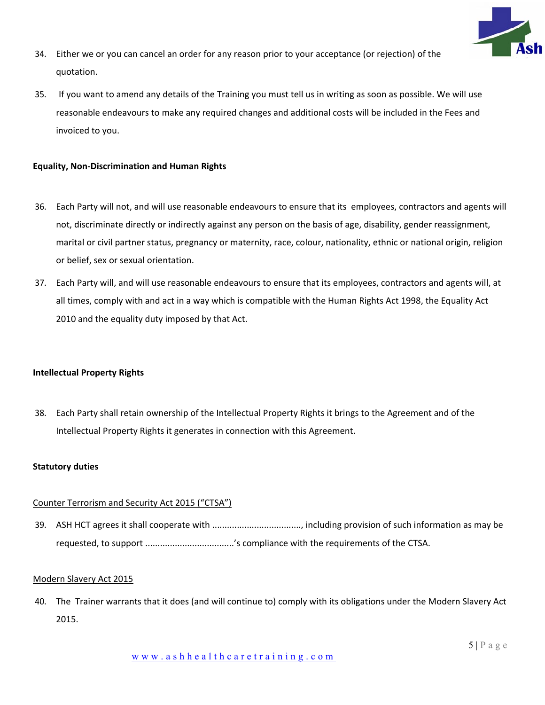

- 34. Either we or you can cancel an order for any reason prior to your acceptance (or rejection) of the quotation.
- 35. If you want to amend any details of the Training you must tell us in writing as soon as possible. We will use reasonable endeavours to make any required changes and additional costs will be included in the Fees and invoiced to you.

# **Equality, Non-Discrimination and Human Rights**

- 36. Each Party will not, and will use reasonable endeavours to ensure that its employees, contractors and agents will not, discriminate directly or indirectly against any person on the basis of age, disability, gender reassignment, marital or civil partner status, pregnancy or maternity, race, colour, nationality, ethnic or national origin, religion or belief, sex or sexual orientation.
- 37. Each Party will, and will use reasonable endeavours to ensure that its employees, contractors and agents will, at all times, comply with and act in a way which is compatible with the Human Rights Act 1998, the Equality Act 2010 and the equality duty imposed by that Act.

# **Intellectual Property Rights**

38. Each Party shall retain ownership of the Intellectual Property Rights it brings to the Agreement and of the Intellectual Property Rights it generates in connection with this Agreement.

#### **Statutory duties**

#### Counter Terrorism and Security Act 2015 ("CTSA")

39. ASH HCT agrees it shall cooperate with ...................................., including provision of such information as may be requested, to support ...................................'s compliance with the requirements of the CTSA.

# Modern Slavery Act 2015

40. The Trainer warrants that it does (and will continue to) comply with its obligations under the Modern Slavery Act 2015.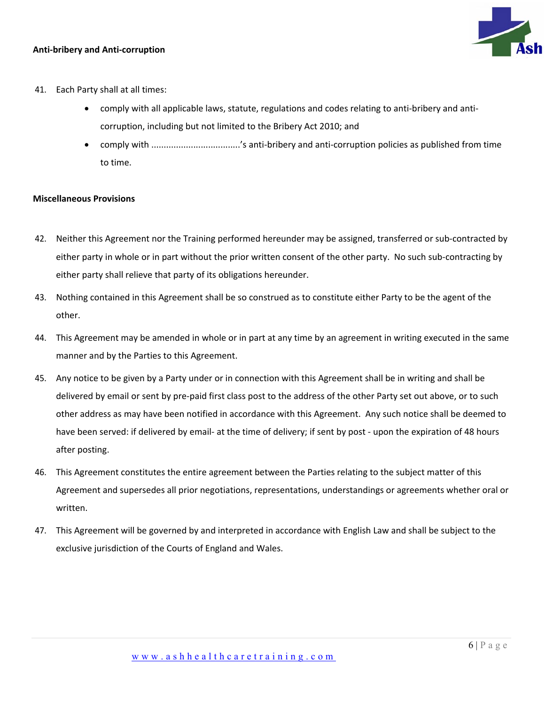# **Anti-bribery and Anti-corruption**



- 41. Each Party shall at all times:
	- comply with all applicable laws, statute, regulations and codes relating to anti-bribery and anticorruption, including but not limited to the Bribery Act 2010; and
	- comply with ....................................'s anti-bribery and anti-corruption policies as published from time to time.

# **Miscellaneous Provisions**

- 42. Neither this Agreement nor the Training performed hereunder may be assigned, transferred or sub-contracted by either party in whole or in part without the prior written consent of the other party. No such sub-contracting by either party shall relieve that party of its obligations hereunder.
- 43. Nothing contained in this Agreement shall be so construed as to constitute either Party to be the agent of the other.
- 44. This Agreement may be amended in whole or in part at any time by an agreement in writing executed in the same manner and by the Parties to this Agreement.
- 45. Any notice to be given by a Party under or in connection with this Agreement shall be in writing and shall be delivered by email or sent by pre-paid first class post to the address of the other Party set out above, or to such other address as may have been notified in accordance with this Agreement. Any such notice shall be deemed to have been served: if delivered by email- at the time of delivery; if sent by post - upon the expiration of 48 hours after posting.
- 46. This Agreement constitutes the entire agreement between the Parties relating to the subject matter of this Agreement and supersedes all prior negotiations, representations, understandings or agreements whether oral or written.
- 47. This Agreement will be governed by and interpreted in accordance with English Law and shall be subject to the exclusive jurisdiction of the Courts of England and Wales.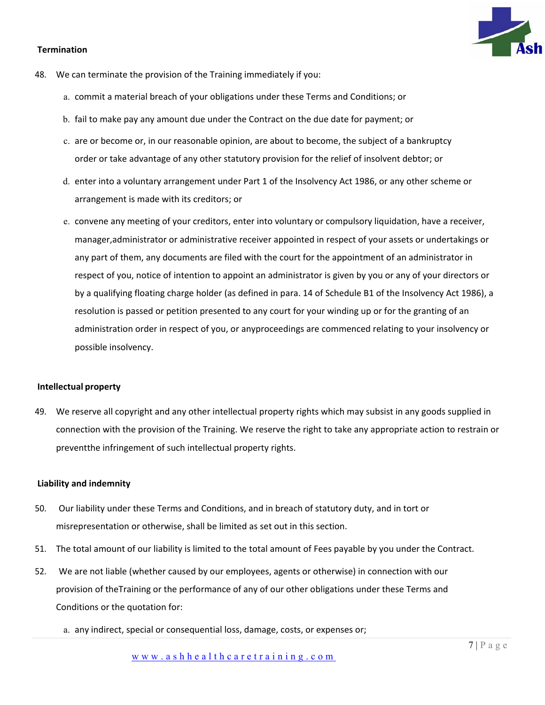# **Termination**

- 48. We can terminate the provision of the Training immediately if you:
	- a. commit a material breach of your obligations under these Terms and Conditions; or
	- b. fail to make pay any amount due under the Contract on the due date for payment; or
	- c. are or become or, in our reasonable opinion, are about to become, the subject of a bankruptcy order or take advantage of any other statutory provision for the relief of insolvent debtor; or
	- d. enter into a voluntary arrangement under Part 1 of the Insolvency Act 1986, or any other scheme or arrangement is made with its creditors; or
	- e. convene any meeting of your creditors, enter into voluntary or compulsory liquidation, have a receiver, manager,administrator or administrative receiver appointed in respect of your assets or undertakings or any part of them, any documents are filed with the court for the appointment of an administrator in respect of you, notice of intention to appoint an administrator is given by you or any of your directors or by a qualifying floating charge holder (as defined in para. 14 of Schedule B1 of the Insolvency Act 1986), a resolution is passed or petition presented to any court for your winding up or for the granting of an administration order in respect of you, or anyproceedings are commenced relating to your insolvency or possible insolvency.

# **Intellectual property**

49. We reserve all copyright and any other intellectual property rights which may subsist in any goods supplied in connection with the provision of the Training. We reserve the right to take any appropriate action to restrain or preventthe infringement of such intellectual property rights.

#### **Liability and indemnity**

- 50. Our liability under these Terms and Conditions, and in breach of statutory duty, and in tort or misrepresentation or otherwise, shall be limited as set out in this section.
- 51. The total amount of our liability is limited to the total amount of Fees payable by you under the Contract.
- 52. We are not liable (whether caused by our employees, agents or otherwise) in connection with our provision of theTraining or the performance of any of our other obligations under these Terms and Conditions or the quotation for:
	- a. any indirect, special or consequential loss, damage, costs, or expenses or;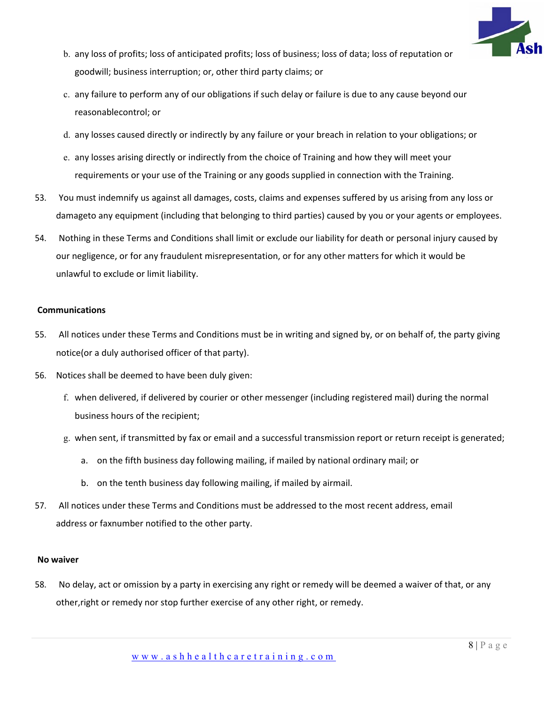

- b. any loss of profits; loss of anticipated profits; loss of business; loss of data; loss of reputation or goodwill; business interruption; or, other third party claims; or
- c. any failure to perform any of our obligations if such delay or failure is due to any cause beyond our reasonablecontrol; or
- d. any losses caused directly or indirectly by any failure or your breach in relation to your obligations; or
- e. any losses arising directly or indirectly from the choice of Training and how they will meet your requirements or your use of the Training or any goods supplied in connection with the Training.
- 53. You must indemnify us against all damages, costs, claims and expenses suffered by us arising from any loss or damageto any equipment (including that belonging to third parties) caused by you or your agents or employees.
- 54. Nothing in these Terms and Conditions shall limit or exclude our liability for death or personal injury caused by our negligence, or for any fraudulent misrepresentation, or for any other matters for which it would be unlawful to exclude or limit liability.

# **Communications**

- 55. All notices under these Terms and Conditions must be in writing and signed by, or on behalf of, the party giving notice(or a duly authorised officer of that party).
- 56. Notices shall be deemed to have been duly given:
	- f. when delivered, if delivered by courier or other messenger (including registered mail) during the normal business hours of the recipient;
	- g. when sent, if transmitted by fax or email and a successful transmission report or return receipt is generated;
		- a. on the fifth business day following mailing, if mailed by national ordinary mail; or
		- b. on the tenth business day following mailing, if mailed by airmail.
- 57. All notices under these Terms and Conditions must be addressed to the most recent address, email address or faxnumber notified to the other party.

#### **No waiver**

58. No delay, act or omission by a party in exercising any right or remedy will be deemed a waiver of that, or any other,right or remedy nor stop further exercise of any other right, or remedy.